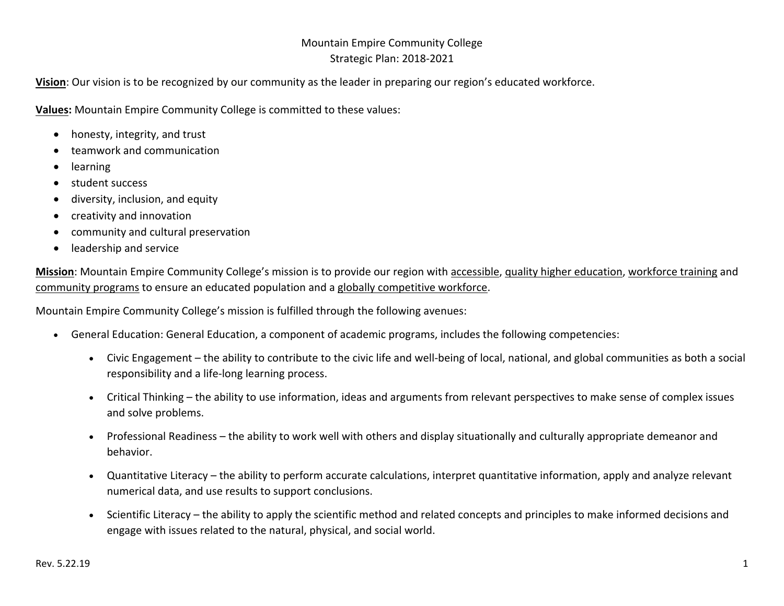# Mountain Empire Community College Strategic Plan: 2018‐2021

**Vision**: Our vision is to be recognized by our community as the leader in preparing our region's educated workforce.

**Values:** Mountain Empire Community College is committed to these values:

- honesty, integrity, and trust
- teamwork and communication
- . learning
- student success
- $\bullet$ diversity, inclusion, and equity
- $\bullet$ creativity and innovation
- $\bullet$ community and cultural preservation
- $\bullet$ leadership and service

**Mission**: Mountain Empire Community College's mission is to provide our region with accessible, quality higher education, workforce training and community programs to ensure an educated population and a globally competitive workforce.

Mountain Empire Community College's mission is fulfilled through the following avenues:

- General Education: General Education, a component of academic programs, includes the following competencies:
	- Civic Engagement the ability to contribute to the civic life and well-being of local, national, and global communities as both a social responsibility and a life‐long learning process.
	- Critical Thinking the ability to use information, ideas and arguments from relevant perspectives to make sense of complex issues and solve problems.
	- $\bullet$  Professional Readiness – the ability to work well with others and display situationally and culturally appropriate demeanor and behavior.
	- $\bullet$  Quantitative Literacy – the ability to perform accurate calculations, interpret quantitative information, apply and analyze relevant numerical data, and use results to support conclusions.
	- $\bullet$  Scientific Literacy – the ability to apply the scientific method and related concepts and principles to make informed decisions and engage with issues related to the natural, physical, and social world.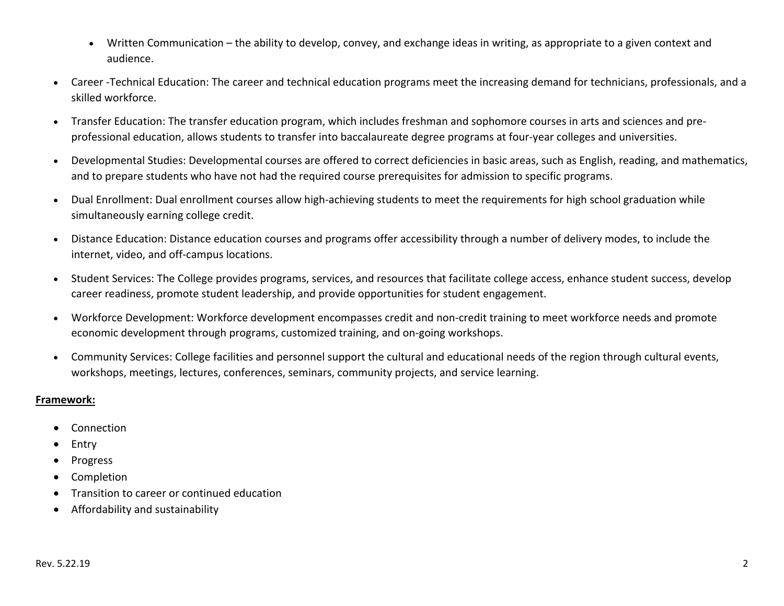- $\bullet$  Written Communication – the ability to develop, convey, and exchange ideas in writing, as appropriate to a given context and audience.
- c Career ‐Technical Education: The career and technical education programs meet the increasing demand for technicians, professionals, and a skilled workforce.
- c Transfer Education: The transfer education program, which includes freshman and sophomore courses in arts and sciences and pre‐ professional education, allows students to transfer into baccalaureate degree programs at four‐year colleges and universities.
- c Developmental Studies: Developmental courses are offered to correct deficiencies in basic areas, such as English, reading, and mathematics, and to prepare students who have not had the required course prerequisites for admission to specific programs.
- $\bullet$ Dual Enrollment: Dual enrollment courses allow high-achieving students to meet the requirements for high school graduation while simultaneously earning college credit.
- $\bullet$  Distance Education: Distance education courses and programs offer accessibility through a number of delivery modes, to include the internet, video, and off‐campus locations.
- $\bullet$  Student Services: The College provides programs, services, and resources that facilitate college access, enhance student success, develop career readiness, promote student leadership, and provide opportunities for student engagement.
- $\bullet$  Workforce Development: Workforce development encompasses credit and non‐credit training to meet workforce needs and promote economic development through programs, customized training, and on‐going workshops.
- Community Services: College facilities and personnel support the cultural and educational needs of the region through cultural events, workshops, meetings, lectures, conferences, seminars, community projects, and service learning.

### **Framework:**

- Connection
- . Entry
- . Progress
- $\bullet$ Completion
- $\bullet$ Transition to career or continued education
- $\bullet$ Affordability and sustainability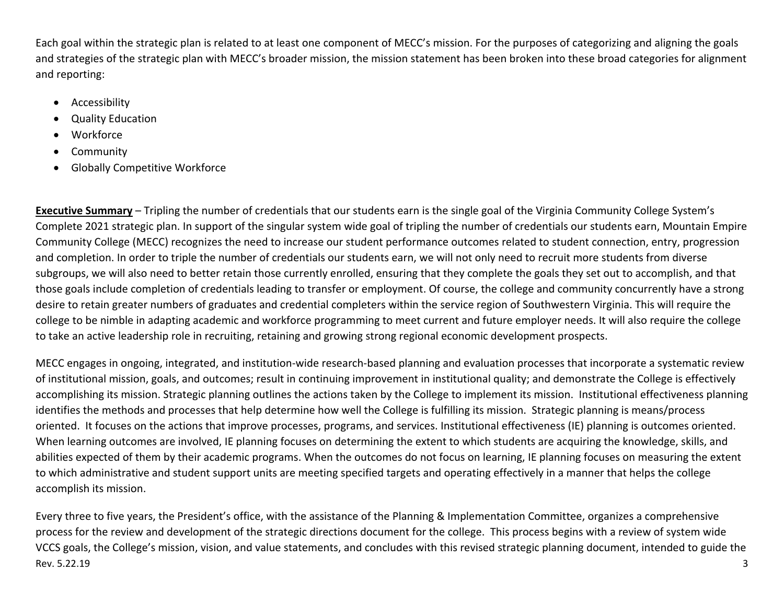Each goal within the strategic plan is related to at least one component of MECC's mission. For the purposes of categorizing and aligning the goals and strategies of the strategic plan with MECC's broader mission, the mission statement has been broken into these broad categories for alignment and reporting:

- Accessibility
- $\bullet$ Quality Education
- Workforce
- Community
- Globally Competitive Workforce

**Executive Summary** – Tripling the number of credentials that our students earn is the single goal of the Virginia Community College System's Complete 2021 strategic plan. In support of the singular system wide goal of tripling the number of credentials our students earn, Mountain Empire Community College (MECC) recognizes the need to increase our student performance outcomes related to student connection, entry, progression and completion. In order to triple the number of credentials our students earn, we will not only need to recruit more students from diverse subgroups, we will also need to better retain those currently enrolled, ensuring that they complete the goals they set out to accomplish, and that those goals include completion of credentials leading to transfer or employment. Of course, the college and community concurrently have a strong desire to retain greater numbers of graduates and credential completers within the service region of Southwestern Virginia. This will require the college to be nimble in adapting academic and workforce programming to meet current and future employer needs. It will also require the college to take an active leadership role in recruiting, retaining and growing strong regional economic development prospects.

MECC engages in ongoing, integrated, and institution‐wide research‐based planning and evaluation processes that incorporate a systematic review of institutional mission, goals, and outcomes; result in continuing improvement in institutional quality; and demonstrate the College is effectively accomplishing its mission. Strategic planning outlines the actions taken by the College to implement its mission. Institutional effectiveness planning identifies the methods and processes that help determine how well the College is fulfilling its mission. Strategic planning is means/process oriented. It focuses on the actions that improve processes, programs, and services. Institutional effectiveness (IE) planning is outcomes oriented. When learning outcomes are involved, IE planning focuses on determining the extent to which students are acquiring the knowledge, skills, and abilities expected of them by their academic programs. When the outcomes do not focus on learning, IE planning focuses on measuring the extent to which administrative and student support units are meeting specified targets and operating effectively in a manner that helps the college accomplish its mission.

Rev. 5.22.19 3 Every three to five years, the President's office, with the assistance of the Planning & Implementation Committee, organizes a comprehensive process for the review and development of the strategic directions document for the college. This process begins with a review of system wide VCCS goals, the College's mission, vision, and value statements, and concludes with this revised strategic planning document, intended to guide the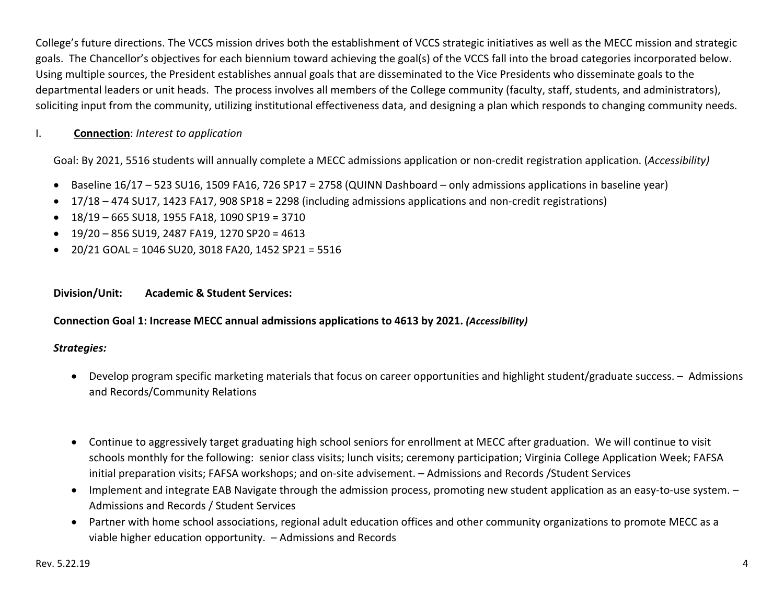College's future directions. The VCCS mission drives both the establishment of VCCS strategic initiatives as well as the MECC mission and strategic goals. The Chancellor's objectives for each biennium toward achieving the goal(s) of the VCCS fall into the broad categories incorporated below. Using multiple sources, the President establishes annual goals that are disseminated to the Vice Presidents who disseminate goals to the departmental leaders or unit heads. The process involves all members of the College community (faculty, staff, students, and administrators), soliciting input from the community, utilizing institutional effectiveness data, and designing a plan which responds to changing community needs.

#### I.**Connection**: *Interest to application*

Goal: By 2021, 5516 students will annually complete a MECC admissions application or non‐credit registration application. (*Accessibility)* 

- Baseline 16/17 523 SU16, 1509 FA16, 726 SP17 = 2758 (QUINN Dashboard only admissions applications in baseline year)
- 17/18 474 SU17, 1423 FA17, 908 SP18 = 2298 (including admissions applications and non‐credit registrations)
- $\bullet$  18/19 665 SU18, 1955 FA18, 1090 SP19 = 3710
- $\bullet$  19/20 856 SU19, 2487 FA19, 1270 SP20 = 4613
- 20/21 GOAL = 1046 SU20, 3018 FA20, 1452 SP21 = 5516

### **Division/Unit: Academic & Student Services:**

### **Connection Goal 1: Increase MECC annual admissions applications to 4613 by 2021.** *(Accessibility)*

- Develop program specific marketing materials that focus on career opportunities and highlight student/graduate success. Admissions and Records/Community Relations
- Continue to aggressively target graduating high school seniors for enrollment at MECC after graduation. We will continue to visit schools monthly for the following: senior class visits; lunch visits; ceremony participation; Virginia College Application Week; FAFSA initial preparation visits; FAFSA workshops; and on‐site advisement. – Admissions and Records /Student Services
- Implement and integrate EAB Navigate through the admission process, promoting new student application as an easy-to-use system. Admissions and Records / Student Services
- Partner with home school associations, regional adult education offices and other community organizations to promote MECC as a viable higher education opportunity. – Admissions and Records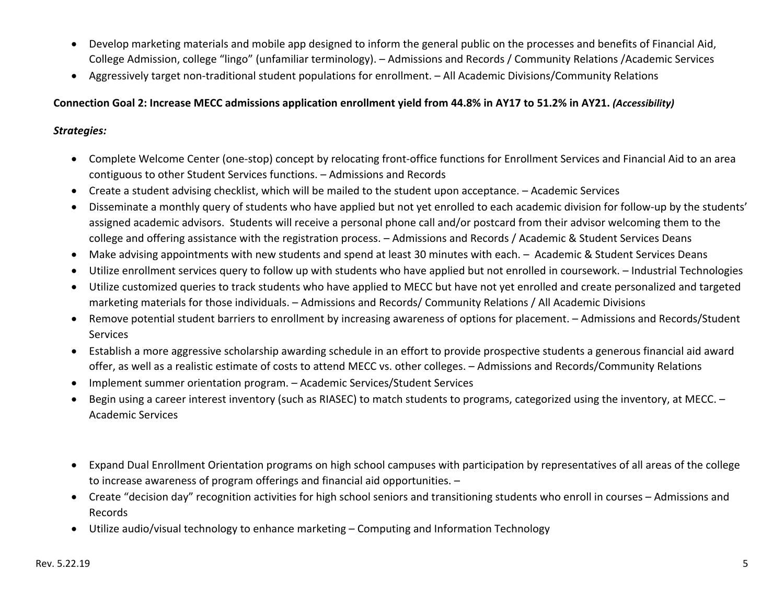- Develop marketing materials and mobile app designed to inform the general public on the processes and benefits of Financial Aid, College Admission, college "lingo" (unfamiliar terminology). – Admissions and Records / Community Relations /Academic Services
- Aggressively target non-traditional student populations for enrollment. All Academic Divisions/Community Relations

### **Connection Goal 2: Increase MECC admissions application enrollment yield from 44.8% in AY17 to 51.2% in AY21.** *(Accessibility)*

- Complete Welcome Center (one-stop) concept by relocating front-office functions for Enrollment Services and Financial Aid to an area contiguous to other Student Services functions. – Admissions and Records
- Create a student advising checklist, which will be mailed to the student upon acceptance. Academic Services
- 0 Disseminate a monthly query of students who have applied but not yet enrolled to each academic division for follow‐up by the students' assigned academic advisors. Students will receive a personal phone call and/or postcard from their advisor welcoming them to the college and offering assistance with the registration process. – Admissions and Records / Academic & Student Services Deans
- Make advising appointments with new students and spend at least 30 minutes with each. Academic & Student Services Deans
- $\bullet$ Utilize enrollment services query to follow up with students who have applied but not enrolled in coursework. – Industrial Technologies
- Utilize customized queries to track students who have applied to MECC but have not yet enrolled and create personalized and targeted marketing materials for those individuals. – Admissions and Records/ Community Relations / All Academic Divisions
- Remove potential student barriers to enrollment by increasing awareness of options for placement. Admissions and Records/Student **Services**
- Establish a more aggressive scholarship awarding schedule in an effort to provide prospective students a generous financial aid award offer, as well as a realistic estimate of costs to attend MECC vs. other colleges. – Admissions and Records/Community Relations
- $\bullet$ Implement summer orientation program. – Academic Services/Student Services
- . Begin using a career interest inventory (such as RIASEC) to match students to programs, categorized using the inventory, at MECC. – Academic Services
- Expand Dual Enrollment Orientation programs on high school campuses with participation by representatives of all areas of the college to increase awareness of program offerings and financial aid opportunities. –
- Create "decision day" recognition activities for high school seniors and transitioning students who enroll in courses Admissions and Records
- Utilize audio/visual technology to enhance marketing Computing and Information Technology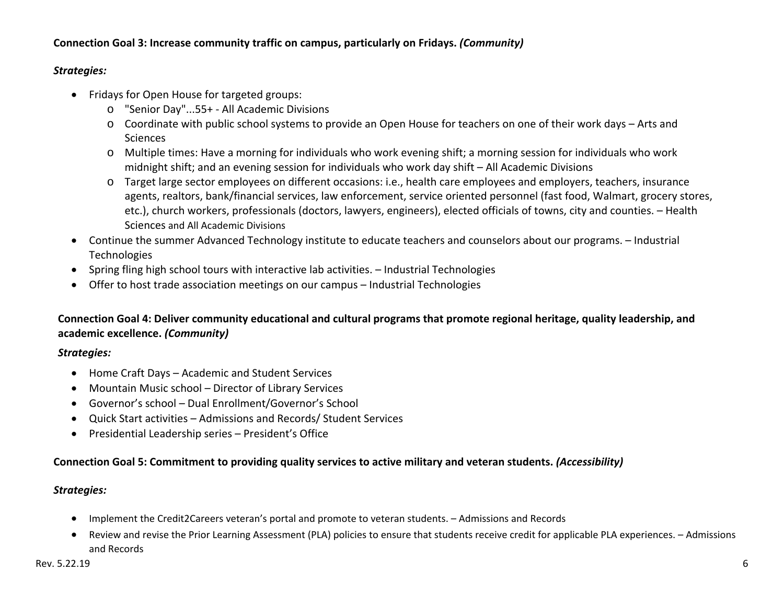### **Connection Goal 3: Increase community traffic on campus, particularly on Fridays.** *(Community)*

### *Strategies:*

- Fridays for Open House for targeted groups:
	- o "Senior Day"...55+ ‐ All Academic Divisions
	- o Coordinate with public school systems to provide an Open House for teachers on one of their work days Arts and **Sciences**
	- o Multiple times: Have a morning for individuals who work evening shift; a morning session for individuals who work midnight shift; and an evening session for individuals who work day shift – All Academic Divisions
	- o Target large sector employees on different occasions: i.e., health care employees and employers, teachers, insurance agents, realtors, bank/financial services, law enforcement, service oriented personnel (fast food, Walmart, grocery stores, etc.), church workers, professionals (doctors, lawyers, engineers), elected officials of towns, city and counties. – Health Sciences and All Academic Divisions
- Continue the summer Advanced Technology institute to educate teachers and counselors about our programs. Industrial **Technologies**
- Spring fling high school tours with interactive lab activities. Industrial Technologies
- Offer to host trade association meetings on our campus Industrial Technologies

# **Connection Goal 4: Deliver community educational and cultural programs that promote regional heritage, quality leadership, and academic excellence.** *(Community)*

# *Strategies:*

- Home Craft Days Academic and Student Services
- Mountain Music school Director of Library Services
- Governor's school Dual Enrollment/Governor's School
- Quick Start activities Admissions and Records/ Student Services
- Presidential Leadership series President's Office

# **Connection Goal 5: Commitment to providing quality services to active military and veteran students.** *(Accessibility)*

- Implement the Credit2Careers veteran's portal and promote to veteran students. Admissions and Records
- Review and revise the Prior Learning Assessment (PLA) policies to ensure that students receive credit for applicable PLA experiences. Admissions and Records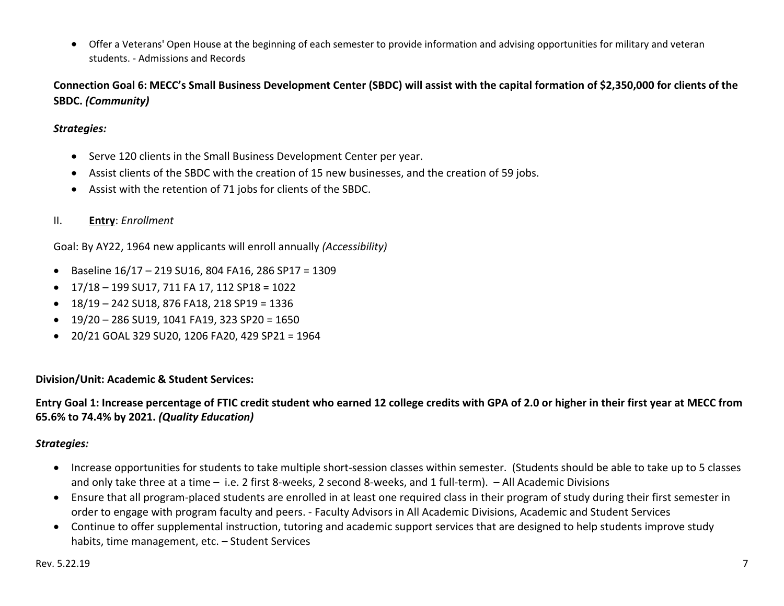Offer a Veterans' Open House at the beginning of each semester to provide information and advising opportunities for military and veteran students. ‐ Admissions and Records

**Connection Goal 6: MECC's Small Business Development Center (SBDC) will assist with the capital formation of \$2,350,000 for clients of the SBDC.** *(Community)* 

### *Strategies:*

- Serve 120 clients in the Small Business Development Center per year.
- Assist clients of the SBDC with the creation of 15 new businesses, and the creation of 59 jobs.
- Assist with the retention of 71 jobs for clients of the SBDC.
- II.**Entry**: *Enrollment*

Goal: By AY22, 1964 new applicants will enroll annually *(Accessibility)* 

- Baseline 16/17 219 SU16, 804 FA16, 286 SP17 = 1309
- 17/18 199 SU17, 711 FA 17, 112 SP18 = 1022
- $\bullet$  18/19 242 SU18, 876 FA18, 218 SP19 = 1336
- $\bullet$  19/20 286 SU19, 1041 FA19, 323 SP20 = 1650
- 20/21 GOAL 329 SU20, 1206 FA20, 429 SP21 = 1964

### **Division/Unit: Academic & Student Services:**

**Entry Goal 1: Increase percentage of FTIC credit student who earned 12 college credits with GPA of 2.0 or higher in their first year at MECC from 65.6% to 74.4% by 2021.** *(Quality Education)*

- Increase opportunities for students to take multiple short-session classes within semester. (Students should be able to take up to 5 classes and only take three at a time – i.e. 2 first 8-weeks, 2 second 8-weeks, and 1 full-term). - All Academic Divisions
- Ensure that all program-placed students are enrolled in at least one required class in their program of study during their first semester in order to engage with program faculty and peers. ‐ Faculty Advisors in All Academic Divisions, Academic and Student Services
- Continue to offer supplemental instruction, tutoring and academic support services that are designed to help students improve study habits, time management, etc. - Student Services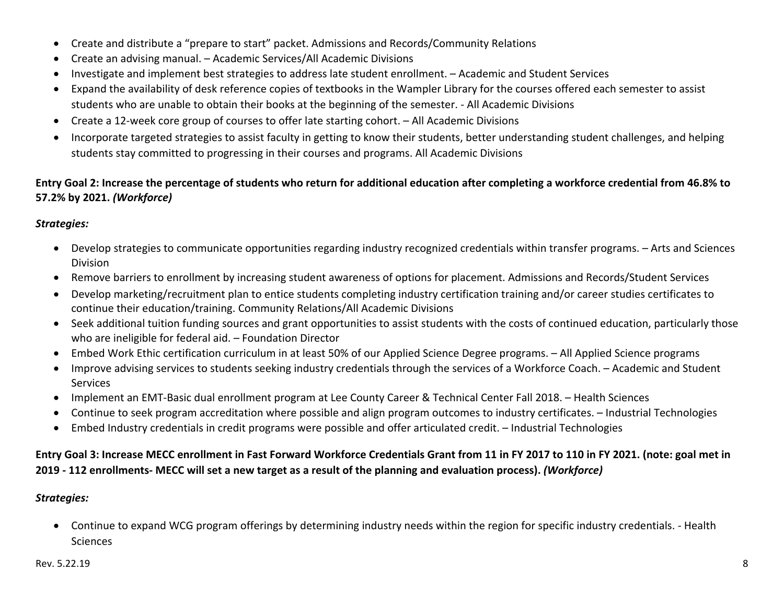- Create and distribute a "prepare to start" packet. Admissions and Records/Community Relations
- Create an advising manual. Academic Services/All Academic Divisions
- Investigate and implement best strategies to address late student enrollment. Academic and Student Services
- Expand the availability of desk reference copies of textbooks in the Wampler Library for the courses offered each semester to assist students who are unable to obtain their books at the beginning of the semester. ‐ All Academic Divisions
- Create a 12-week core group of courses to offer late starting cohort. All Academic Divisions
- Incorporate targeted strategies to assist faculty in getting to know their students, better understanding student challenges, and helping students stay committed to progressing in their courses and programs. All Academic Divisions

## **Entry Goal 2: Increase the percentage of students who return for additional education after completing a workforce credential from 46.8% to 57.2% by 2021.** *(Workforce)*

## *Strategies:*

- Develop strategies to communicate opportunities regarding industry recognized credentials within transfer programs. Arts and Sciences Division
- Remove barriers to enrollment by increasing student awareness of options for placement. Admissions and Records/Student Services
- $\bullet$  Develop marketing/recruitment plan to entice students completing industry certification training and/or career studies certificates to continue their education/training. Community Relations/All Academic Divisions
- Seek additional tuition funding sources and grant opportunities to assist students with the costs of continued education, particularly those who are ineligible for federal aid. – Foundation Director
- Embed Work Ethic certification curriculum in at least 50% of our Applied Science Degree programs. All Applied Science programs
- Improve advising services to students seeking industry credentials through the services of a Workforce Coach. Academic and Student Services
- Implement an EMT‐Basic dual enrollment program at Lee County Career & Technical Center Fall 2018. Health Sciences
- Continue to seek program accreditation where possible and align program outcomes to industry certificates. Industrial Technologies
- Embed Industry credentials in credit programs were possible and offer articulated credit. Industrial Technologies

# **Entry Goal 3: Increase MECC enrollment in Fast Forward Workforce Credentials Grant from 11 in FY 2017 to 110 in FY 2021. (note: goal met in 2019 ‐ 112 enrollments‐ MECC will set a new target as a result of the planning and evaluation process).** *(Workforce)*

# *Strategies:*

● Continue to expand WCG program offerings by determining industry needs within the region for specific industry credentials. - Health **Sciences**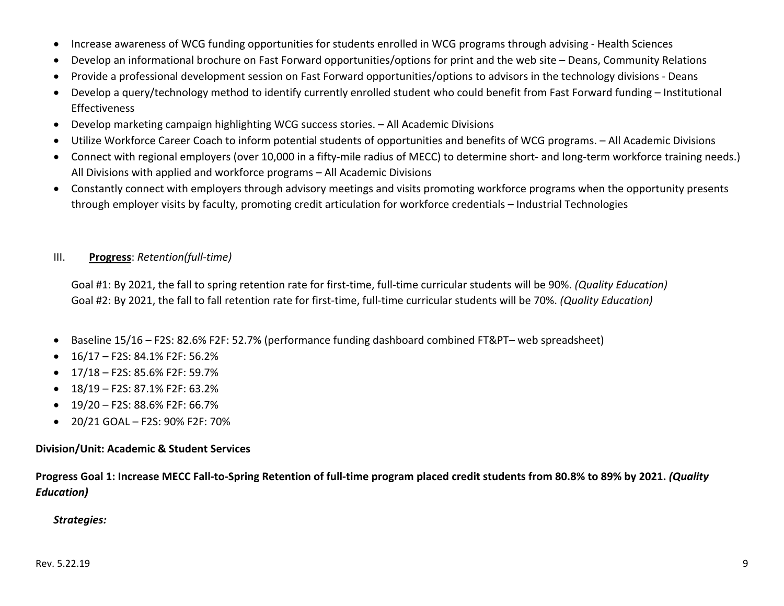- $\bullet$ Increase awareness of WCG funding opportunities for students enrolled in WCG programs through advising ‐ Health Sciences
- 0 Develop an informational brochure on Fast Forward opportunities/options for print and the web site – Deans, Community Relations
- . Provide a professional development session on Fast Forward opportunities/options to advisors in the technology divisions ‐ Deans
- $\bullet$  Develop a query/technology method to identify currently enrolled student who could benefit from Fast Forward funding – Institutional Effectiveness
- $\bullet$ Develop marketing campaign highlighting WCG success stories. – All Academic Divisions
- $\bullet$ Utilize Workforce Career Coach to inform potential students of opportunities and benefits of WCG programs. – All Academic Divisions
- Connect with regional employers (over 10,000 in a fifty-mile radius of MECC) to determine short- and long-term workforce training needs.) All Divisions with applied and workforce programs – All Academic Divisions
- Constantly connect with employers through advisory meetings and visits promoting workforce programs when the opportunity presents through employer visits by faculty, promoting credit articulation for workforce credentials – Industrial Technologies

#### III.**Progress**: *Retention(full‐time)*

Goal #1: By 2021, the fall to spring retention rate for first‐time, full‐time curricular students will be 90%. *(Quality Education)* Goal #2: By 2021, the fall to fall retention rate for first‐time, full‐time curricular students will be 70%. *(Quality Education)*

- Baseline 15/16 F2S: 82.6% F2F: 52.7% (performance funding dashboard combined FT&PT– web spreadsheet)
- $\bullet$  16/17 F2S: 84.1% F2F: 56.2%
- 17/18 F2S: 85.6% F2F: 59.7%
- 18/19 F2S: 87.1% F2F: 63.2%
- $\bullet$  19/20 F2S: 88.6% F2F: 66.7%
- 20/21 GOAL F2S: 90% F2F: 70%

### **Division/Unit: Academic & Student Services**

**Progress Goal 1: Increase MECC Fall‐to‐Spring Retention of full‐time program placed credit students from 80.8% to 89% by 2021.** *(Quality Education)*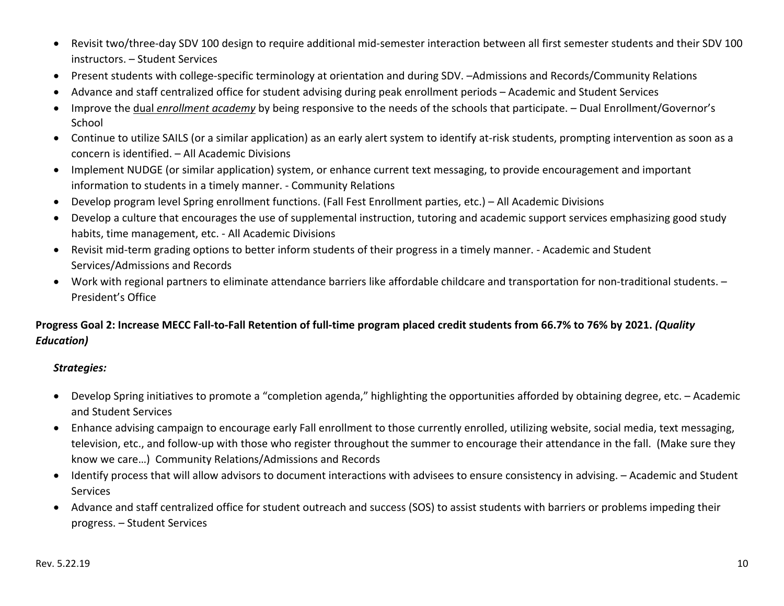- Revisit two/three-day SDV 100 design to require additional mid-semester interaction between all first semester students and their SDV 100 instructors. – Student Services
- Present students with college-specific terminology at orientation and during SDV. -Admissions and Records/Community Relations
- Advance and staff centralized office for student advising during peak enrollment periods Academic and Student Services
- Improve the dual *enrollment academy* by being responsive to the needs of the schools that participate. Dual Enrollment/Governor's **School**
- Continue to utilize SAILS (or a similar application) as an early alert system to identify at-risk students, prompting intervention as soon as a concern is identified. – All Academic Divisions
- Implement NUDGE (or similar application) system, or enhance current text messaging, to provide encouragement and important information to students in a timely manner. ‐ Community Relations
- $\bullet$ Develop program level Spring enrollment functions. (Fall Fest Enrollment parties, etc.) – All Academic Divisions
- Develop a culture that encourages the use of supplemental instruction, tutoring and academic support services emphasizing good study habits, time management, etc. ‐ All Academic Divisions
- Revisit mid-term grading options to better inform students of their progress in a timely manner. Academic and Student Services/Admissions and Records
- Work with regional partners to eliminate attendance barriers like affordable childcare and transportation for non-traditional students. President's Office

# **Progress Goal 2: Increase MECC Fall‐to‐Fall Retention of full‐time program placed credit students from 66.7% to 76% by 2021.** *(Quality Education)*

- Develop Spring initiatives to promote a "completion agenda," highlighting the opportunities afforded by obtaining degree, etc. Academic and Student Services
- Enhance advising campaign to encourage early Fall enrollment to those currently enrolled, utilizing website, social media, text messaging, television, etc., and follow‐up with those who register throughout the summer to encourage their attendance in the fall. (Make sure they know we care…) Community Relations/Admissions and Records
- Identify process that will allow advisors to document interactions with advisees to ensure consistency in advising. Academic and Student **Services**
- Advance and staff centralized office for student outreach and success (SOS) to assist students with barriers or problems impeding their progress. – Student Services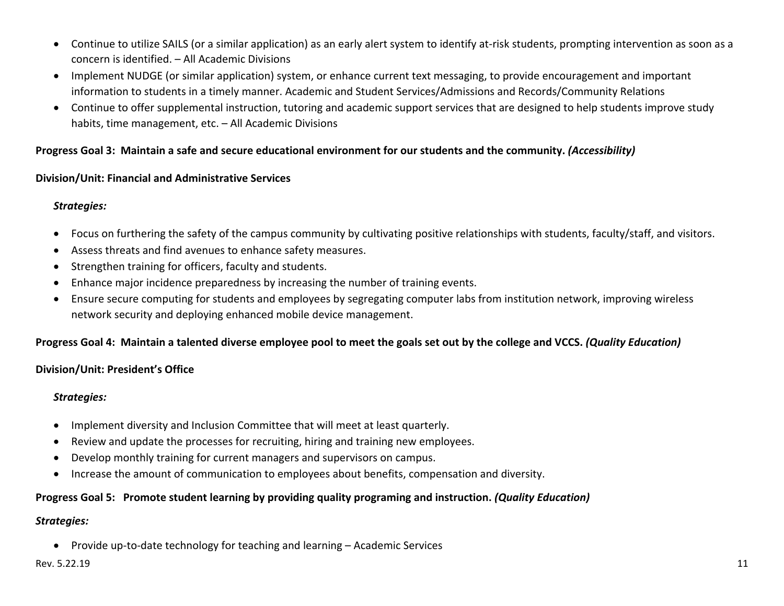- Continue to utilize SAILS (or a similar application) as an early alert system to identify at-risk students, prompting intervention as soon as a concern is identified. – All Academic Divisions
- Implement NUDGE (or similar application) system, or enhance current text messaging, to provide encouragement and important information to students in a timely manner. Academic and Student Services/Admissions and Records/Community Relations
- Continue to offer supplemental instruction, tutoring and academic support services that are designed to help students improve study habits, time management, etc. - All Academic Divisions

### **Progress Goal 3: Maintain a safe and secure educational environment for our students and the community.** *(Accessibility)*

### **Division/Unit: Financial and Administrative Services**

# *Strategies:*

- Focus on furthering the safety of the campus community by cultivating positive relationships with students, faculty/staff, and visitors.
- Assess threats and find avenues to enhance safety measures.
- Strengthen training for officers, faculty and students.
- Enhance major incidence preparedness by increasing the number of training events.
- Ensure secure computing for students and employees by segregating computer labs from institution network, improving wireless network security and deploying enhanced mobile device management.

# **Progress Goal 4: Maintain a talented diverse employee pool to meet the goals set out by the college and VCCS.** *(Quality Education)*

### **Division/Unit: President's Office**

### *Strategies:*

- Implement diversity and Inclusion Committee that will meet at least quarterly.
- $\bullet$ Review and update the processes for recruiting, hiring and training new employees.
- $\bullet$ Develop monthly training for current managers and supervisors on campus.
- $\bullet$ Increase the amount of communication to employees about benefits, compensation and diversity.

# **Progress Goal 5: Promote student learning by providing quality programing and instruction.** *(Quality Education)*

### *Strategies:*

● Provide up-to-date technology for teaching and learning – Academic Services

### Rev. 5.22.19 11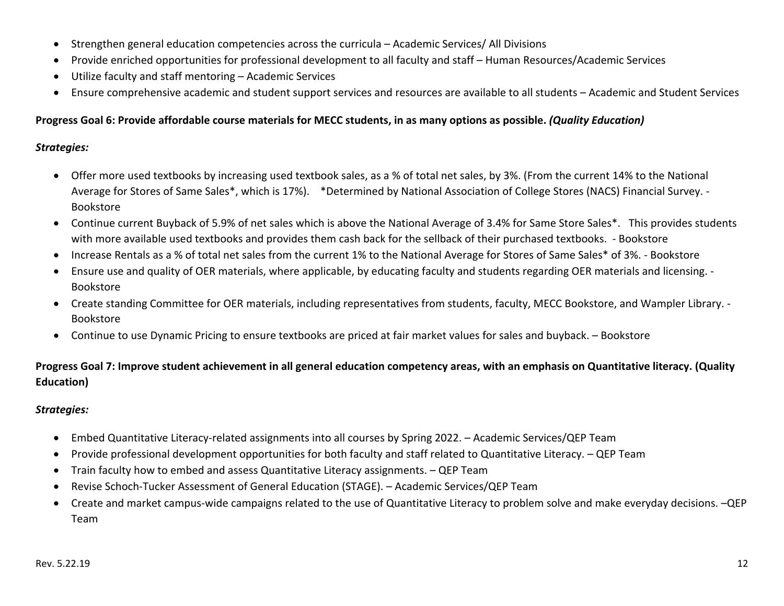- Strengthen general education competencies across the curricula Academic Services/ All Divisions
- 0 Provide enriched opportunities for professional development to all faculty and staff – Human Resources/Academic Services
- $\bullet$ Utilize faculty and staff mentoring – Academic Services
- Ensure comprehensive academic and student support services and resources are available to all students Academic and Student Services

### **Progress Goal 6: Provide affordable course materials for MECC students, in as many options as possible.** *(Quality Education)*

### *Strategies:*

- Offer more used textbooks by increasing used textbook sales, as a % of total net sales, by 3%. (From the current 14% to the National Average for Stores of Same Sales\*, which is 17%). \*Determined by National Association of College Stores (NACS) Financial Survey. ‐ Bookstore
- Continue current Buyback of 5.9% of net sales which is above the National Average of 3.4% for Same Store Sales\*. This provides students with more available used textbooks and provides them cash back for the sellback of their purchased textbooks. ‐ Bookstore
- Increase Rentals as a % of total net sales from the current 1% to the National Average for Stores of Same Sales\* of 3%. Bookstore
- $\bullet$  Ensure use and quality of OER materials, where applicable, by educating faculty and students regarding OER materials and licensing. ‐ Bookstore
- Create standing Committee for OER materials, including representatives from students, faculty, MECC Bookstore, and Wampler Library. -Bookstore
- Continue to use Dynamic Pricing to ensure textbooks are priced at fair market values for sales and buyback. Bookstore

# **Progress Goal 7: Improve student achievement in all general education competency areas, with an emphasis on Quantitative literacy. (Quality Education)**

- Embed Quantitative Literacy‐related assignments into all courses by Spring 2022. Academic Services/QEP Team
- 0 Provide professional development opportunities for both faculty and staff related to Quantitative Literacy. – QEP Team
- Train faculty how to embed and assess Quantitative Literacy assignments. QEP Team
- Revise Schoch‐Tucker Assessment of General Education (STAGE). Academic Services/QEP Team
- Create and market campus-wide campaigns related to the use of Quantitative Literacy to problem solve and make everyday decisions. –QEP Team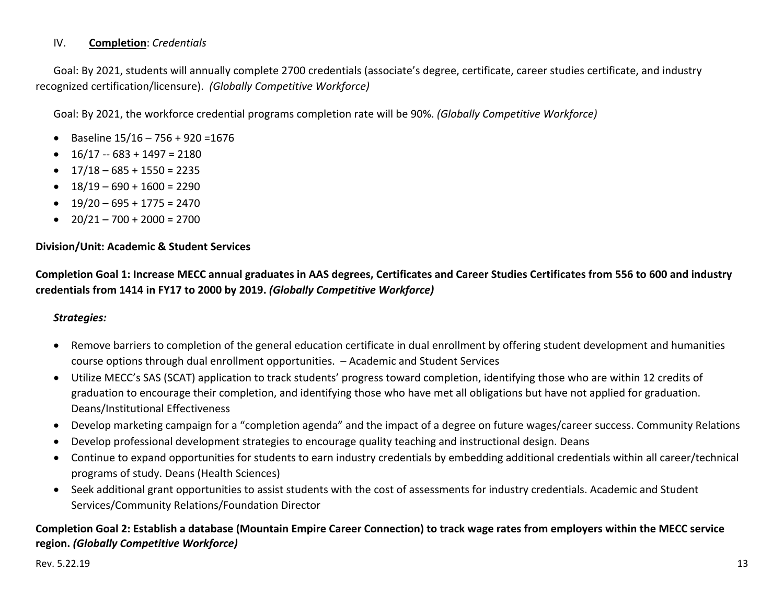#### IV.**Completion**: *Credentials*

Goal: By 2021, students will annually complete 2700 credentials (associate's degree, certificate, career studies certificate, and industry recognized certification/licensure).  *(Globally Competitive Workforce)*

Goal: By 2021, the workforce credential programs completion rate will be 90%. *(Globally Competitive Workforce)*

- $\bullet$  Baseline 15/16 756 + 920 = 1676
- $\bullet$  16/17 -- 683 + 1497 = 2180
- $\bullet$  17/18 685 + 1550 = 2235
- $\bullet$  18/19 690 + 1600 = 2290
- $\bullet$  19/20 695 + 1775 = 2470
- $\bullet$  20/21 700 + 2000 = 2700

### **Division/Unit: Academic & Student Services**

**Completion Goal 1: Increase MECC annual graduates in AAS degrees, Certificates and Career Studies Certificates from 556 to 600 and industry credentials from 1414 in FY17 to 2000 by 2019.** *(Globally Competitive Workforce)*

### *Strategies:*

- Remove barriers to completion of the general education certificate in dual enrollment by offering student development and humanities course options through dual enrollment opportunities. – Academic and Student Services
- Utilize MECC's SAS (SCAT) application to track students' progress toward completion, identifying those who are within 12 credits of graduation to encourage their completion, and identifying those who have met all obligations but have not applied for graduation. Deans/Institutional Effectiveness
- Develop marketing campaign for a "completion agenda" and the impact of a degree on future wages/career success. Community Relations
- 0 Develop professional development strategies to encourage quality teaching and instructional design. Deans
- Continue to expand opportunities for students to earn industry credentials by embedding additional credentials within all career/technical programs of study. Deans (Health Sciences)
- Seek additional grant opportunities to assist students with the cost of assessments for industry credentials. Academic and Student Services/Community Relations/Foundation Director

### **Completion Goal 2: Establish a database (Mountain Empire Career Connection) to track wage rates from employers within the MECC service region.** *(Globally Competitive Workforce)*

### Rev. 5.22.19 13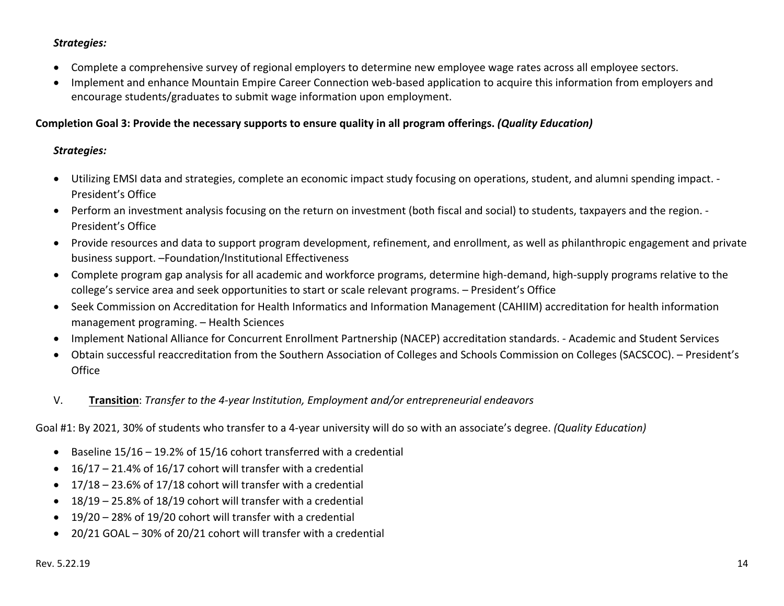### *Strategies:*

- Complete a comprehensive survey of regional employers to determine new employee wage rates across all employee sectors.
- Implement and enhance Mountain Empire Career Connection web-based application to acquire this information from employers and encourage students/graduates to submit wage information upon employment.

### **Completion Goal 3: Provide the necessary supports to ensure quality in all program offerings.** *(Quality Education)*

### *Strategies:*

- Utilizing EMSI data and strategies, complete an economic impact study focusing on operations, student, and alumni spending impact. ‐ President's Office
- Perform an investment analysis focusing on the return on investment (both fiscal and social) to students, taxpayers and the region. -President's Office
- Provide resources and data to support program development, refinement, and enrollment, as well as philanthropic engagement and private business support. –Foundation/Institutional Effectiveness
- Complete program gap analysis for all academic and workforce programs, determine high-demand, high-supply programs relative to the college's service area and seek opportunities to start or scale relevant programs. – President's Office
- Seek Commission on Accreditation for Health Informatics and Information Management (CAHIIM) accreditation for health information management programing. – Health Sciences
- Implement National Alliance for Concurrent Enrollment Partnership (NACEP) accreditation standards. Academic and Student Services
- Obtain successful reaccreditation from the Southern Association of Colleges and Schools Commission on Colleges (SACSCOC). President's **Office**
- V.**Transition**: *Transfer to the 4‐year Institution, Employment and/or entrepreneurial endeavors*

Goal #1: By 2021, 30% of students who transfer to a 4‐year university will do so with an associate's degree. *(Quality Education)*

- $\bullet$  Baseline 15/16 19.2% of 15/16 cohort transferred with a credential
- $\bullet$  16/17 21.4% of 16/17 cohort will transfer with a credential
- $\bullet$  17/18 23.6% of 17/18 cohort will transfer with a credential
- $\bullet$  18/19 25.8% of 18/19 cohort will transfer with a credential
- 19/20 28% of 19/20 cohort will transfer with a credential
- 20/21 GOAL 30% of 20/21 cohort will transfer with a credential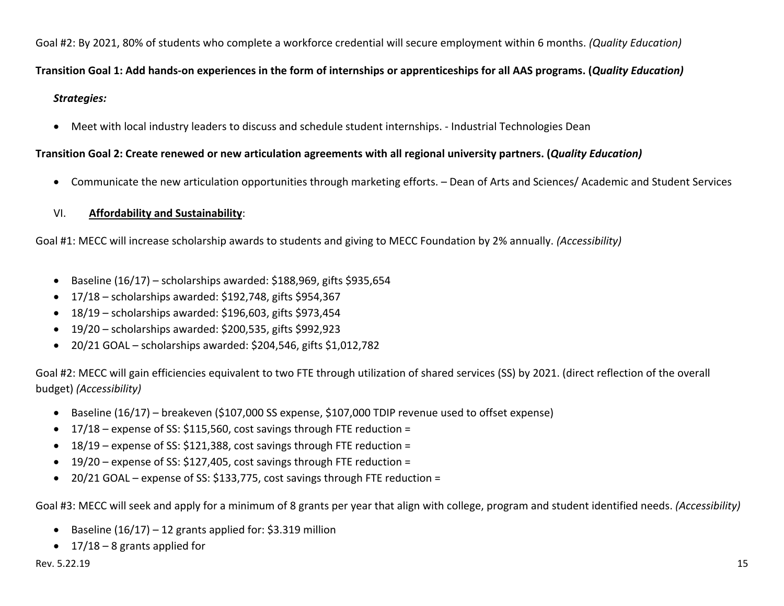Goal #2: By 2021, 80% of students who complete a workforce credential will secure employment within 6 months. *(Quality Education)* 

### **Transition Goal 1: Add hands‐on experiences in the form of internships or apprenticeships for all AAS programs. (***Quality Education)*

### *Strategies:*

● Meet with local industry leaders to discuss and schedule student internships. - Industrial Technologies Dean

### **Transition Goal 2: Create renewed or new articulation agreements with all regional university partners. (***Quality Education)*

Communicate the new articulation opportunities through marketing efforts. – Dean of Arts and Sciences/ Academic and Student Services

#### VI.**Affordability and Sustainability**:

Goal #1: MECC will increase scholarship awards to students and giving to MECC Foundation by 2% annually. *(Accessibility)*

- Baseline (16/17) scholarships awarded: \$188,969, gifts \$935,654
- 17/18 scholarships awarded: \$192,748, gifts \$954,367
- 18/19 scholarships awarded: \$196,603, gifts \$973,454
- 19/20 scholarships awarded: \$200,535, gifts \$992,923
- 20/21 GOAL scholarships awarded: \$204,546, gifts \$1,012,782

Goal #2: MECC will gain efficiencies equivalent to two FTE through utilization of shared services (SS) by 2021. (direct reflection of the overall budget) *(Accessibility)*

- Baseline (16/17) breakeven (\$107,000 SS expense, \$107,000 TDIP revenue used to offset expense)
- 17/18 expense of SS: \$115,560, cost savings through FTE reduction =
- 18/19 expense of SS: \$121,388, cost savings through FTE reduction =
- 19/20 expense of SS: \$127,405, cost savings through FTE reduction =
- 20/21 GOAL expense of SS: \$133,775, cost savings through FTE reduction =

Goal #3: MECC will seek and apply for a minimum of 8 grants per year that align with college, program and student identified needs. *(Accessibility)*

- Baseline  $(16/17) 12$  grants applied for: \$3.319 million
- $\bullet$  17/18 8 grants applied for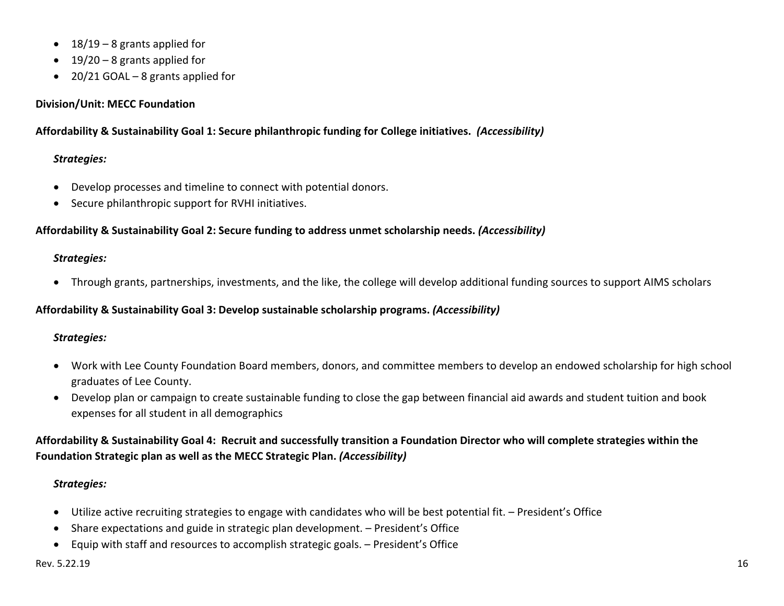- $\bullet$  18/19 8 grants applied for
- $\bullet$  19/20 8 grants applied for
- 20/21 GOAL 8 grants applied for

## **Division/Unit: MECC Foundation**

## **Affordability & Sustainability Goal 1: Secure philanthropic funding for College initiatives.** *(Accessibility)*

# *Strategies:*

- Develop processes and timeline to connect with potential donors.
- Secure philanthropic support for RVHI initiatives.

# **Affordability & Sustainability Goal 2: Secure funding to address unmet scholarship needs.** *(Accessibility)*

# *Strategies:*

Through grants, partnerships, investments, and the like, the college will develop additional funding sources to support AIMS scholars

# **Affordability & Sustainability Goal 3: Develop sustainable scholarship programs.** *(Accessibility)*

# *Strategies:*

- Work with Lee County Foundation Board members, donors, and committee members to develop an endowed scholarship for high school graduates of Lee County.
- Develop plan or campaign to create sustainable funding to close the gap between financial aid awards and student tuition and book expenses for all student in all demographics

# **Affordability & Sustainability Goal 4: Recruit and successfully transition a Foundation Director who will complete strategies within the Foundation Strategic plan as well as the MECC Strategic Plan.** *(Accessibility)*

- Utilize active recruiting strategies to engage with candidates who will be best potential fit. President's Office
- Share expectations and guide in strategic plan development. President's Office
- Equip with staff and resources to accomplish strategic goals. President's Office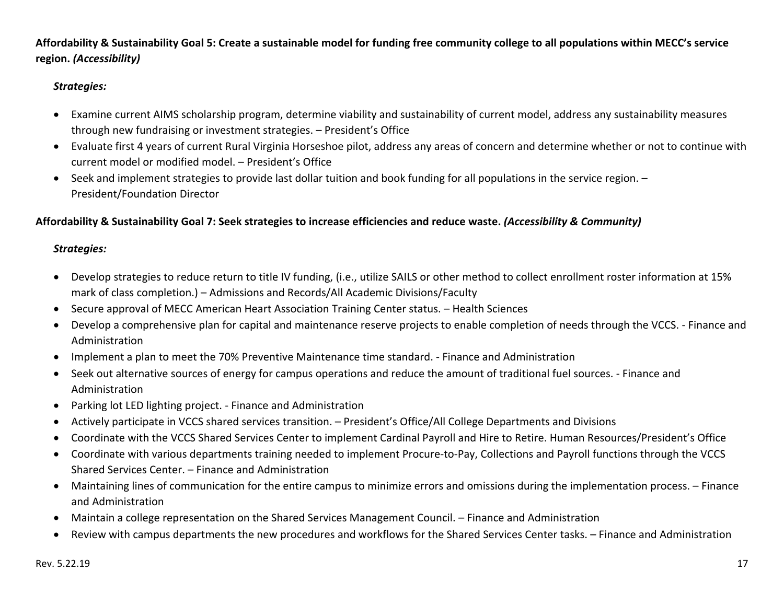# **Affordability & Sustainability Goal 5: Create a sustainable model for funding free community college to all populations within MECC's service region.** *(Accessibility)*

### *Strategies:*

- Examine current AIMS scholarship program, determine viability and sustainability of current model, address any sustainability measures through new fundraising or investment strategies. – President's Office
- Evaluate first 4 years of current Rural Virginia Horseshoe pilot, address any areas of concern and determine whether or not to continue with current model or modified model. – President's Office
- Seek and implement strategies to provide last dollar tuition and book funding for all populations in the service region. President/Foundation Director

### **Affordability & Sustainability Goal 7: Seek strategies to increase efficiencies and reduce waste.** *(Accessibility & Community)*

- Develop strategies to reduce return to title IV funding, (i.e., utilize SAILS or other method to collect enrollment roster information at 15% mark of class completion.) – Admissions and Records/All Academic Divisions/Faculty
- **Secure approval of MECC American Heart Association Training Center status. Health Sciences**
- Develop a comprehensive plan for capital and maintenance reserve projects to enable completion of needs through the VCCS. Finance and Administration
- Implement a plan to meet the 70% Preventive Maintenance time standard. Finance and Administration
- Seek out alternative sources of energy for campus operations and reduce the amount of traditional fuel sources. Finance and Administration
- Parking lot LED lighting project. Finance and Administration
- Actively participate in VCCS shared services transition. President's Office/All College Departments and Divisions
- Coordinate with the VCCS Shared Services Center to implement Cardinal Payroll and Hire to Retire. Human Resources/President's Office
- Coordinate with various departments training needed to implement Procure-to-Pay, Collections and Payroll functions through the VCCS Shared Services Center. – Finance and Administration
- Maintaining lines of communication for the entire campus to minimize errors and omissions during the implementation process. Finance and Administration
- Maintain a college representation on the Shared Services Management Council. Finance and Administration
- $\bullet$ Review with campus departments the new procedures and workflows for the Shared Services Center tasks. – Finance and Administration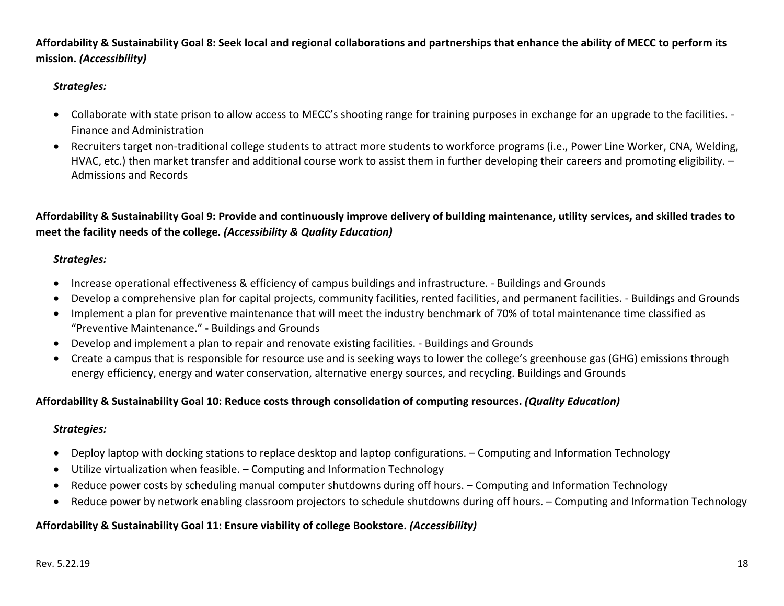**Affordability & Sustainability Goal 8: Seek local and regional collaborations and partnerships that enhance the ability of MECC to perform its mission.** *(Accessibility)*

### *Strategies:*

- Collaborate with state prison to allow access to MECC's shooting range for training purposes in exchange for an upgrade to the facilities. -Finance and Administration
- Recruiters target non-traditional college students to attract more students to workforce programs (i.e., Power Line Worker, CNA, Welding, HVAC, etc.) then market transfer and additional course work to assist them in further developing their careers and promoting eligibility. – Admissions and Records

**Affordability & Sustainability Goal 9: Provide and continuously improve delivery of building maintenance, utility services, and skilled trades to meet the facility needs of the college.** *(Accessibility & Quality Education)*

### *Strategies:*

- Increase operational effectiveness & efficiency of campus buildings and infrastructure. Buildings and Grounds
- $\bullet$ Develop a comprehensive plan for capital projects, community facilities, rented facilities, and permanent facilities. - Buildings and Grounds
- Implement a plan for preventive maintenance that will meet the industry benchmark of 70% of total maintenance time classified as "Preventive Maintenance." **‐** Buildings and Grounds
- Develop and implement a plan to repair and renovate existing facilities. Buildings and Grounds
- Create a campus that is responsible for resource use and is seeking ways to lower the college's greenhouse gas (GHG) emissions through energy efficiency, energy and water conservation, alternative energy sources, and recycling. Buildings and Grounds

### **Affordability & Sustainability Goal 10: Reduce costs through consolidation of computing resources.** *(Quality Education)*

### *Strategies:*

- Deploy laptop with docking stations to replace desktop and laptop configurations. Computing and Information Technology
- Utilize virtualization when feasible. Computing and Information Technology
- Reduce power costs by scheduling manual computer shutdowns during off hours. Computing and Information Technology
- $\bullet$ Reduce power by network enabling classroom projectors to schedule shutdowns during off hours. – Computing and Information Technology

### **Affordability & Sustainability Goal 11: Ensure viability of college Bookstore.** *(Accessibility)*